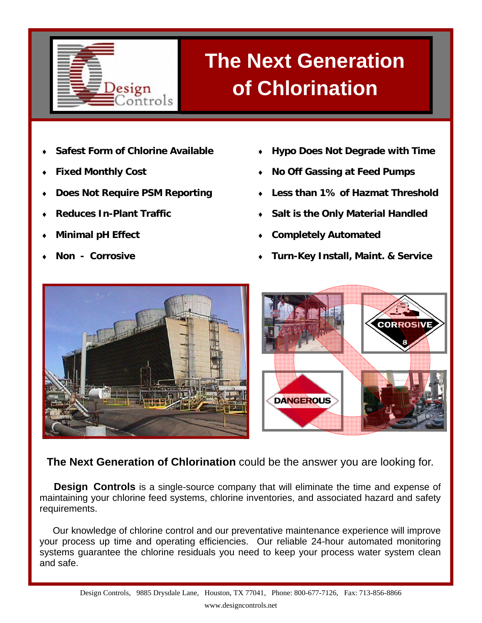

## **The Next Generation of Chlorination**

- **Safest Form of Chlorine Available**
- **Fixed Monthly Cost**
- **Does Not Require PSM Reporting**
- **Reduces In-Plant Traffic**
- **Minimal pH Effect**
- Non Corrosive
- ♦ **Hypo Does Not Degrade with Time**
- **No Off Gassing at Feed Pumps**
- Less than 1% of Hazmat Threshold
- **Salt is the Only Material Handled**
- **Completely Automated**
- ♦ **Turn-Key Install, Maint. & Service**



**The Next Generation of Chlorination** could be the answer you are looking for.

 **Design Controls** is a single-source company that will eliminate the time and expense of maintaining your chlorine feed systems, chlorine inventories, and associated hazard and safety requirements.

 Our knowledge of chlorine control and our preventative maintenance experience will improve your process up time and operating efficiencies. Our reliable 24-hour automated monitoring systems guarantee the chlorine residuals you need to keep your process water system clean and safe.